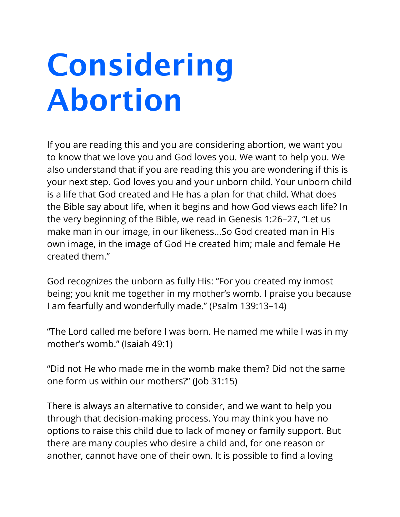## **Considering Abortion**

If you are reading this and you are considering abortion, we want you to know that we love you and God loves you. We want to help you. We also understand that if you are reading this you are wondering if this is your next step. God loves you and your unborn child. Your unborn child is a life that God created and He has a plan for that child. What does the Bible say about life, when it begins and how God views each life? In the very beginning of the Bible, we read in Genesis 1:26–27, "Let us make man in our image, in our likeness...So God created man in His own image, in the image of God He created him; male and female He created them."

God recognizes the unborn as fully His: "For you created my inmost being; you knit me together in my mother's womb. I praise you because I am fearfully and wonderfully made." (Psalm 139:13–14)

"The Lord called me before I was born. He named me while I was in my mother's womb." (Isaiah 49:1)

"Did not He who made me in the womb make them? Did not the same one form us within our mothers?" (Job 31:15)

There is always an alternative to consider, and we want to help you through that decision-making process. You may think you have no options to raise this child due to lack of money or family support. But there are many couples who desire a child and, for one reason or another, cannot have one of their own. It is possible to find a loving